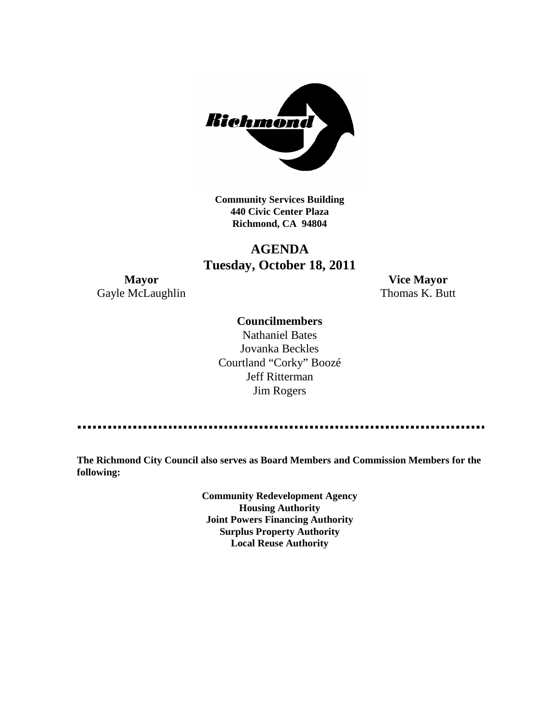

**Community Services Building 440 Civic Center Plaza Richmond, CA 94804**

## **AGENDA Tuesday, October 18, 2011**

Gayle McLaughlin Thomas K. Butt

**Mayor Vice Mayor**

### **Councilmembers**

Nathaniel Bates Jovanka Beckles Courtland "Corky" Boozé Jeff Ritterman Jim Rogers

**The Richmond City Council also serves as Board Members and Commission Members for the following:**

> **Community Redevelopment Agency Housing Authority Joint Powers Financing Authority Surplus Property Authority Local Reuse Authority**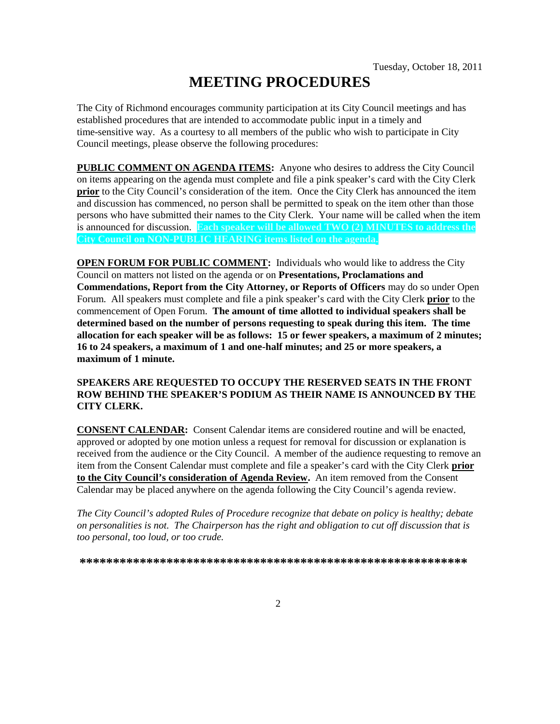# **MEETING PROCEDURES**

The City of Richmond encourages community participation at its City Council meetings and has established procedures that are intended to accommodate public input in a timely and time-sensitive way. As a courtesy to all members of the public who wish to participate in City Council meetings, please observe the following procedures:

**PUBLIC COMMENT ON AGENDA ITEMS:** Anyone who desires to address the City Council on items appearing on the agenda must complete and file a pink speaker's card with the City Clerk **prior** to the City Council's consideration of the item. Once the City Clerk has announced the item and discussion has commenced, no person shall be permitted to speak on the item other than those persons who have submitted their names to the City Clerk. Your name will be called when the item is announced for discussion. **Each speaker will be allowed TWO (2) MINUTES to address the City Council on NON-PUBLIC HEARING items listed on the agenda.**

**OPEN FORUM FOR PUBLIC COMMENT:** Individuals who would like to address the City Council on matters not listed on the agenda or on **Presentations, Proclamations and Commendations, Report from the City Attorney, or Reports of Officers** may do so under Open Forum. All speakers must complete and file a pink speaker's card with the City Clerk **prior** to the commencement of Open Forum. **The amount of time allotted to individual speakers shall be determined based on the number of persons requesting to speak during this item. The time allocation for each speaker will be as follows: 15 or fewer speakers, a maximum of 2 minutes; 16 to 24 speakers, a maximum of 1 and one-half minutes; and 25 or more speakers, a maximum of 1 minute.**

### **SPEAKERS ARE REQUESTED TO OCCUPY THE RESERVED SEATS IN THE FRONT ROW BEHIND THE SPEAKER'S PODIUM AS THEIR NAME IS ANNOUNCED BY THE CITY CLERK.**

**CONSENT CALENDAR:** Consent Calendar items are considered routine and will be enacted, approved or adopted by one motion unless a request for removal for discussion or explanation is received from the audience or the City Council. A member of the audience requesting to remove an item from the Consent Calendar must complete and file a speaker's card with the City Clerk **prior to the City Council's consideration of Agenda Review.** An item removed from the Consent Calendar may be placed anywhere on the agenda following the City Council's agenda review.

*The City Council's adopted Rules of Procedure recognize that debate on policy is healthy; debate on personalities is not. The Chairperson has the right and obligation to cut off discussion that is too personal, too loud, or too crude.*

**\*\*\*\*\*\*\*\*\*\*\*\*\*\*\*\*\*\*\*\*\*\*\*\*\*\*\*\*\*\*\*\*\*\*\*\*\*\*\*\*\*\*\*\*\*\*\*\*\*\*\*\*\*\*\*\*\*\***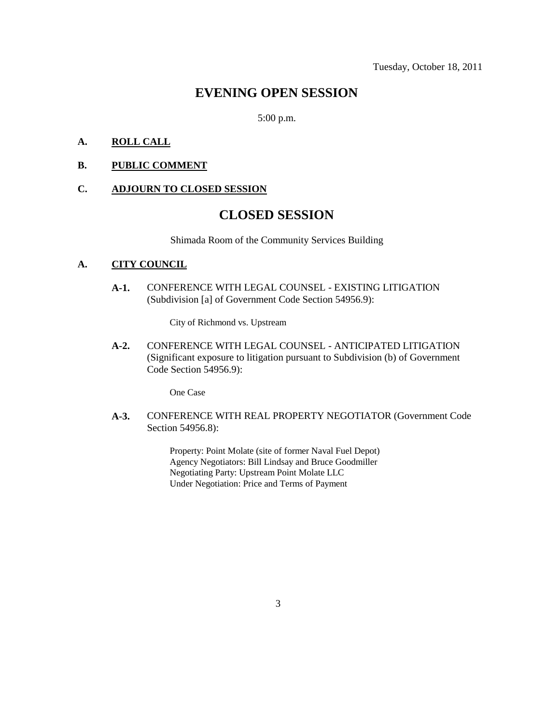### **EVENING OPEN SESSION**

5:00 p.m.

### **A. ROLL CALL**

### **B. PUBLIC COMMENT**

### **C. ADJOURN TO CLOSED SESSION**

## **CLOSED SESSION**

Shimada Room of the Community Services Building

### **A. CITY COUNCIL**

**A-1.** CONFERENCE WITH LEGAL COUNSEL - EXISTING LITIGATION (Subdivision [a] of Government Code Section 54956.9):

City of Richmond vs. Upstream

**A-2.** CONFERENCE WITH LEGAL COUNSEL - ANTICIPATED LITIGATION (Significant exposure to litigation pursuant to Subdivision (b) of Government Code Section 54956.9):

One Case

**A-3.** CONFERENCE WITH REAL PROPERTY NEGOTIATOR (Government Code Section 54956.8):

> Property: Point Molate (site of former Naval Fuel Depot) Agency Negotiators: Bill Lindsay and Bruce Goodmiller Negotiating Party: Upstream Point Molate LLC Under Negotiation: Price and Terms of Payment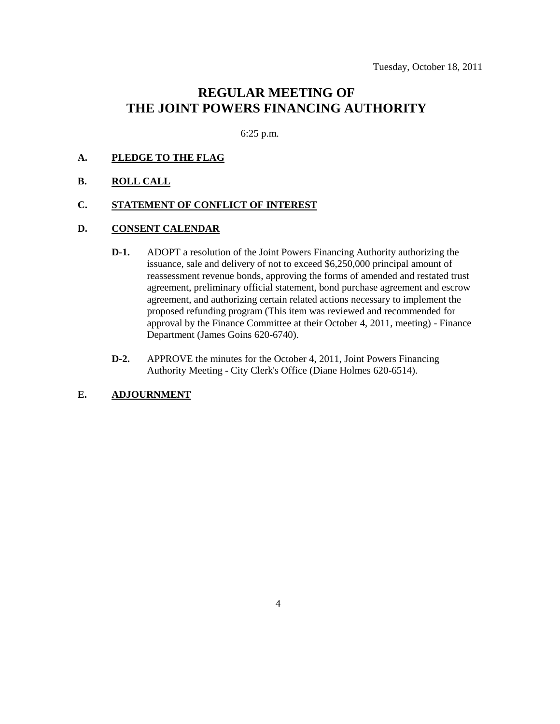### **REGULAR MEETING OF THE JOINT POWERS FINANCING AUTHORITY**

6:25 p.m.

### **A. PLEDGE TO THE FLAG**

#### **B. ROLL CALL**

#### **C. STATEMENT OF CONFLICT OF INTEREST**

### **D. CONSENT CALENDAR**

- **D-1.** ADOPT a resolution of the Joint Powers Financing Authority authorizing the issuance, sale and delivery of not to exceed \$6,250,000 principal amount of reassessment revenue bonds, approving the forms of amended and restated trust agreement, preliminary official statement, bond purchase agreement and escrow agreement, and authorizing certain related actions necessary to implement the proposed refunding program (This item was reviewed and recommended for approval by the Finance Committee at their October 4, 2011, meeting) - Finance Department (James Goins 620-6740).
- **D-2.** APPROVE the minutes for the October 4, 2011, Joint Powers Financing Authority Meeting - City Clerk's Office (Diane Holmes 620-6514).

### **E. ADJOURNMENT**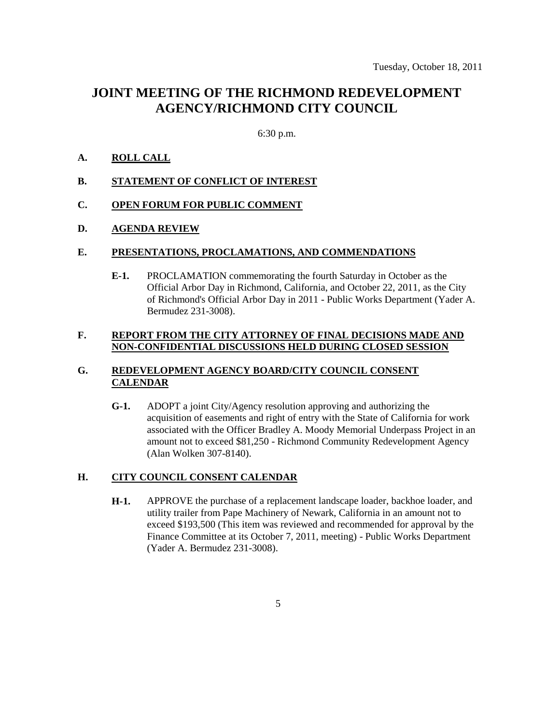### **JOINT MEETING OF THE RICHMOND REDEVELOPMENT AGENCY/RICHMOND CITY COUNCIL**

### 6:30 p.m.

### **A. ROLL CALL**

**B. STATEMENT OF CONFLICT OF INTEREST**

### **C. OPEN FORUM FOR PUBLIC COMMENT**

### **D. AGENDA REVIEW**

#### **E. PRESENTATIONS, PROCLAMATIONS, AND COMMENDATIONS**

**E-1.** PROCLAMATION commemorating the fourth Saturday in October as the Official Arbor Day in Richmond, California, and October 22, 2011, as the City of Richmond's Official Arbor Day in 2011 - Public Works Department (Yader A. Bermudez 231-3008).

#### **F. REPORT FROM THE CITY ATTORNEY OF FINAL DECISIONS MADE AND NON-CONFIDENTIAL DISCUSSIONS HELD DURING CLOSED SESSION**

### **G. REDEVELOPMENT AGENCY BOARD/CITY COUNCIL CONSENT CALENDAR**

**G-1.** ADOPT a joint City/Agency resolution approving and authorizing the acquisition of easements and right of entry with the State of California for work associated with the Officer Bradley A. Moody Memorial Underpass Project in an amount not to exceed \$81,250 - Richmond Community Redevelopment Agency (Alan Wolken 307-8140).

### **H. CITY COUNCIL CONSENT CALENDAR**

**H-1.** APPROVE the purchase of a replacement landscape loader, backhoe loader, and utility trailer from Pape Machinery of Newark, California in an amount not to exceed \$193,500 (This item was reviewed and recommended for approval by the Finance Committee at its October 7, 2011, meeting) - Public Works Department (Yader A. Bermudez 231-3008).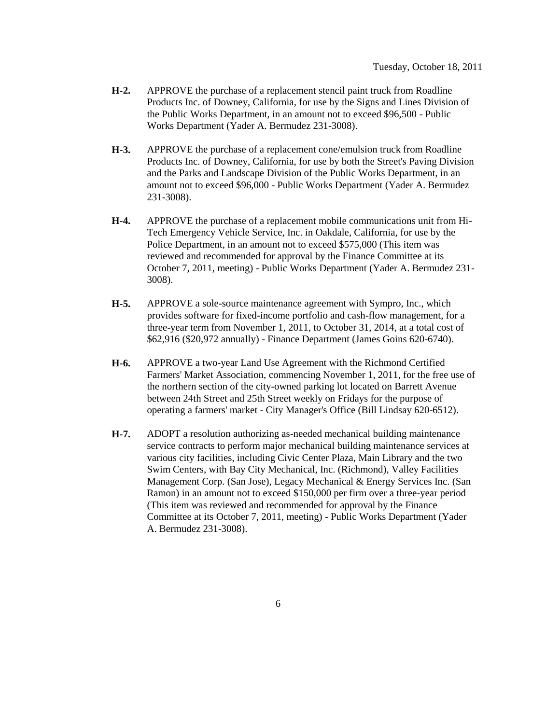- **H-2.** APPROVE the purchase of a replacement stencil paint truck from Roadline Products Inc. of Downey, California, for use by the Signs and Lines Division of the Public Works Department, in an amount not to exceed \$96,500 - Public Works Department (Yader A. Bermudez 231-3008).
- **H-3.** APPROVE the purchase of a replacement cone/emulsion truck from Roadline Products Inc. of Downey, California, for use by both the Street's Paving Division and the Parks and Landscape Division of the Public Works Department, in an amount not to exceed \$96,000 - Public Works Department (Yader A. Bermudez 231-3008).
- **H-4.** APPROVE the purchase of a replacement mobile communications unit from Hi-Tech Emergency Vehicle Service, Inc. in Oakdale, California, for use by the Police Department, in an amount not to exceed \$575,000 (This item was reviewed and recommended for approval by the Finance Committee at its October 7, 2011, meeting) - Public Works Department (Yader A. Bermudez 231- 3008).
- **H-5.** APPROVE a sole-source maintenance agreement with Sympro, Inc., which provides software for fixed-income portfolio and cash-flow management, for a three-year term from November 1, 2011, to October 31, 2014, at a total cost of \$62,916 (\$20,972 annually) - Finance Department (James Goins 620-6740).
- **H-6.** APPROVE a two-year Land Use Agreement with the Richmond Certified Farmers' Market Association, commencing November 1, 2011, for the free use of the northern section of the city-owned parking lot located on Barrett Avenue between 24th Street and 25th Street weekly on Fridays for the purpose of operating a farmers' market - City Manager's Office (Bill Lindsay 620-6512).
- **H-7.** ADOPT a resolution authorizing as-needed mechanical building maintenance service contracts to perform major mechanical building maintenance services at various city facilities, including Civic Center Plaza, Main Library and the two Swim Centers, with Bay City Mechanical, Inc. (Richmond), Valley Facilities Management Corp. (San Jose), Legacy Mechanical & Energy Services Inc. (San Ramon) in an amount not to exceed \$150,000 per firm over a three-year period (This item was reviewed and recommended for approval by the Finance Committee at its October 7, 2011, meeting) - Public Works Department (Yader A. Bermudez 231-3008).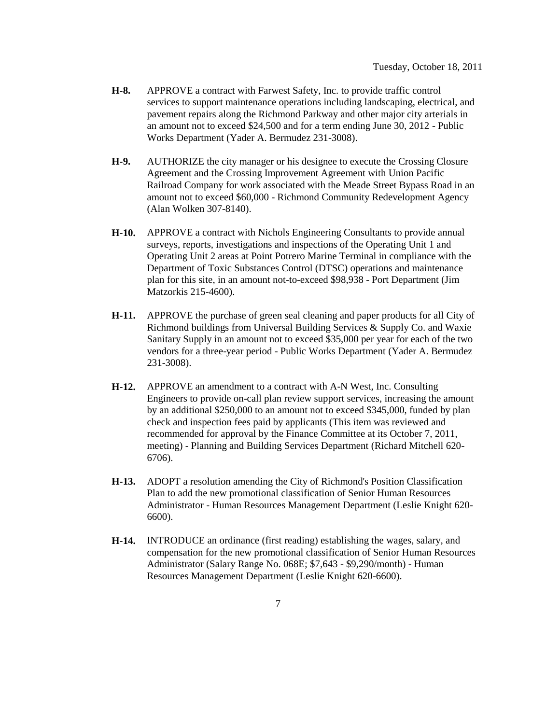- **H-8.** APPROVE a contract with Farwest Safety, Inc. to provide traffic control services to support maintenance operations including landscaping, electrical, and pavement repairs along the Richmond Parkway and other major city arterials in an amount not to exceed \$24,500 and for a term ending June 30, 2012 - Public Works Department (Yader A. Bermudez 231-3008).
- **H-9.** AUTHORIZE the city manager or his designee to execute the Crossing Closure Agreement and the Crossing Improvement Agreement with Union Pacific Railroad Company for work associated with the Meade Street Bypass Road in an amount not to exceed \$60,000 - Richmond Community Redevelopment Agency (Alan Wolken 307-8140).
- **H-10.** APPROVE a contract with Nichols Engineering Consultants to provide annual surveys, reports, investigations and inspections of the Operating Unit 1 and Operating Unit 2 areas at Point Potrero Marine Terminal in compliance with the Department of Toxic Substances Control (DTSC) operations and maintenance plan for this site, in an amount not-to-exceed \$98,938 - Port Department (Jim Matzorkis 215-4600).
- **H-11.** APPROVE the purchase of green seal cleaning and paper products for all City of Richmond buildings from Universal Building Services & Supply Co. and Waxie Sanitary Supply in an amount not to exceed \$35,000 per year for each of the two vendors for a three-year period - Public Works Department (Yader A. Bermudez 231-3008).
- **H-12.** APPROVE an amendment to a contract with A-N West, Inc. Consulting Engineers to provide on-call plan review support services, increasing the amount by an additional \$250,000 to an amount not to exceed \$345,000, funded by plan check and inspection fees paid by applicants (This item was reviewed and recommended for approval by the Finance Committee at its October 7, 2011, meeting) - Planning and Building Services Department (Richard Mitchell 620- 6706).
- **H-13.** ADOPT a resolution amending the City of Richmond's Position Classification Plan to add the new promotional classification of Senior Human Resources Administrator - Human Resources Management Department (Leslie Knight 620- 6600).
- **H-14.** INTRODUCE an ordinance (first reading) establishing the wages, salary, and compensation for the new promotional classification of Senior Human Resources Administrator (Salary Range No. 068E; \$7,643 - \$9,290/month) - Human Resources Management Department (Leslie Knight 620-6600).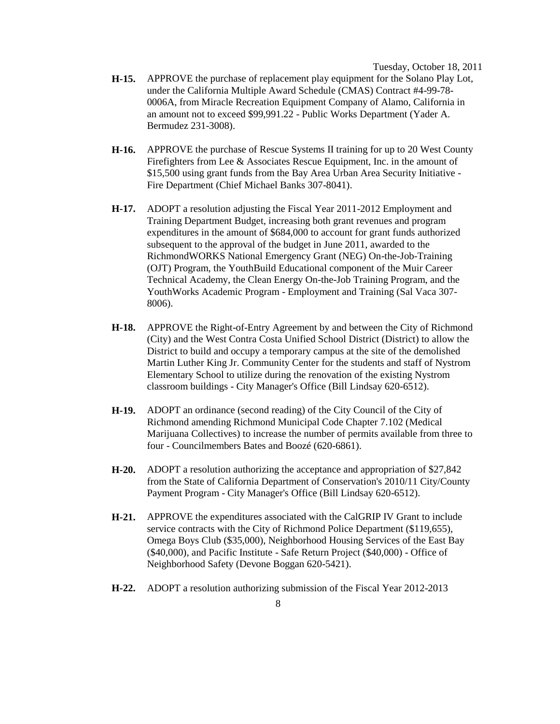Tuesday, October 18, 2011

- **H-15.** APPROVE the purchase of replacement play equipment for the Solano Play Lot, under the California Multiple Award Schedule (CMAS) Contract #4-99-78- 0006A, from Miracle Recreation Equipment Company of Alamo, California in an amount not to exceed \$99,991.22 - Public Works Department (Yader A. Bermudez 231-3008).
- **H-16.** APPROVE the purchase of Rescue Systems II training for up to 20 West County Firefighters from Lee & Associates Rescue Equipment, Inc. in the amount of \$15,500 using grant funds from the Bay Area Urban Area Security Initiative - Fire Department (Chief Michael Banks 307-8041).
- **H-17.** ADOPT a resolution adjusting the Fiscal Year 2011-2012 Employment and Training Department Budget, increasing both grant revenues and program expenditures in the amount of \$684,000 to account for grant funds authorized subsequent to the approval of the budget in June 2011, awarded to the RichmondWORKS National Emergency Grant (NEG) On-the-Job-Training (OJT) Program, the YouthBuild Educational component of the Muir Career Technical Academy, the Clean Energy On-the-Job Training Program, and the YouthWorks Academic Program - Employment and Training (Sal Vaca 307- 8006).
- **H-18.** APPROVE the Right-of-Entry Agreement by and between the City of Richmond (City) and the West Contra Costa Unified School District (District) to allow the District to build and occupy a temporary campus at the site of the demolished Martin Luther King Jr. Community Center for the students and staff of Nystrom Elementary School to utilize during the renovation of the existing Nystrom classroom buildings - City Manager's Office (Bill Lindsay 620-6512).
- **H-19.** ADOPT an ordinance (second reading) of the City Council of the City of Richmond amending Richmond Municipal Code Chapter 7.102 (Medical Marijuana Collectives) to increase the number of permits available from three to four - Councilmembers Bates and Boozé (620-6861).
- **H-20.** ADOPT a resolution authorizing the acceptance and appropriation of \$27,842 from the State of California Department of Conservation's 2010/11 City/County Payment Program - City Manager's Office (Bill Lindsay 620-6512).
- **H-21.** APPROVE the expenditures associated with the CalGRIP IV Grant to include service contracts with the City of Richmond Police Department (\$119,655), Omega Boys Club (\$35,000), Neighborhood Housing Services of the East Bay (\$40,000), and Pacific Institute - Safe Return Project (\$40,000) - Office of Neighborhood Safety (Devone Boggan 620-5421).
- **H-22.** ADOPT a resolution authorizing submission of the Fiscal Year 2012-2013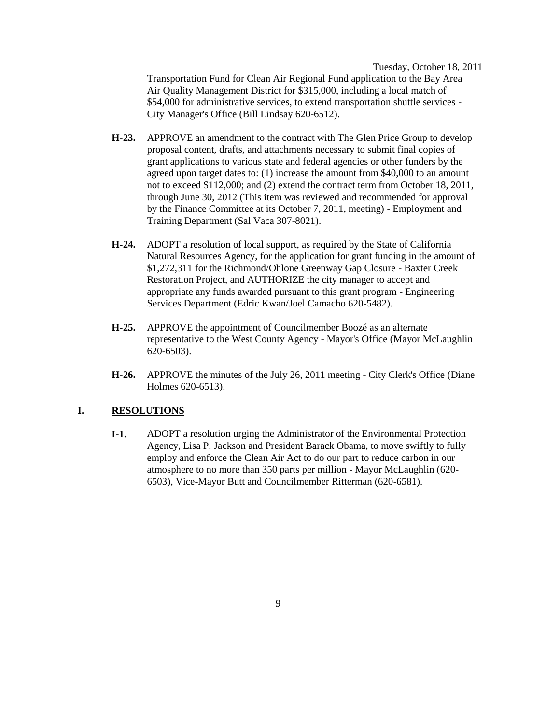Tuesday, October 18, 2011

Transportation Fund for Clean Air Regional Fund application to the Bay Area Air Quality Management District for \$315,000, including a local match of \$54,000 for administrative services, to extend transportation shuttle services - City Manager's Office (Bill Lindsay 620-6512).

- **H-23.** APPROVE an amendment to the contract with The Glen Price Group to develop proposal content, drafts, and attachments necessary to submit final copies of grant applications to various state and federal agencies or other funders by the agreed upon target dates to: (1) increase the amount from \$40,000 to an amount not to exceed \$112,000; and (2) extend the contract term from October 18, 2011, through June 30, 2012 (This item was reviewed and recommended for approval by the Finance Committee at its October 7, 2011, meeting) - Employment and Training Department (Sal Vaca 307-8021).
- **H-24.** ADOPT a resolution of local support, as required by the State of California Natural Resources Agency, for the application for grant funding in the amount of \$1,272,311 for the Richmond/Ohlone Greenway Gap Closure - Baxter Creek Restoration Project, and AUTHORIZE the city manager to accept and appropriate any funds awarded pursuant to this grant program - Engineering Services Department (Edric Kwan/Joel Camacho 620-5482).
- **H-25.** APPROVE the appointment of Councilmember Boozé as an alternate representative to the West County Agency - Mayor's Office (Mayor McLaughlin 620-6503).
- **H-26.** APPROVE the minutes of the July 26, 2011 meeting City Clerk's Office (Diane Holmes 620-6513).

### **I. RESOLUTIONS**

**I-1.** ADOPT a resolution urging the Administrator of the Environmental Protection Agency, Lisa P. Jackson and President Barack Obama, to move swiftly to fully employ and enforce the Clean Air Act to do our part to reduce carbon in our atmosphere to no more than 350 parts per million - Mayor McLaughlin (620- 6503), Vice-Mayor Butt and Councilmember Ritterman (620-6581).